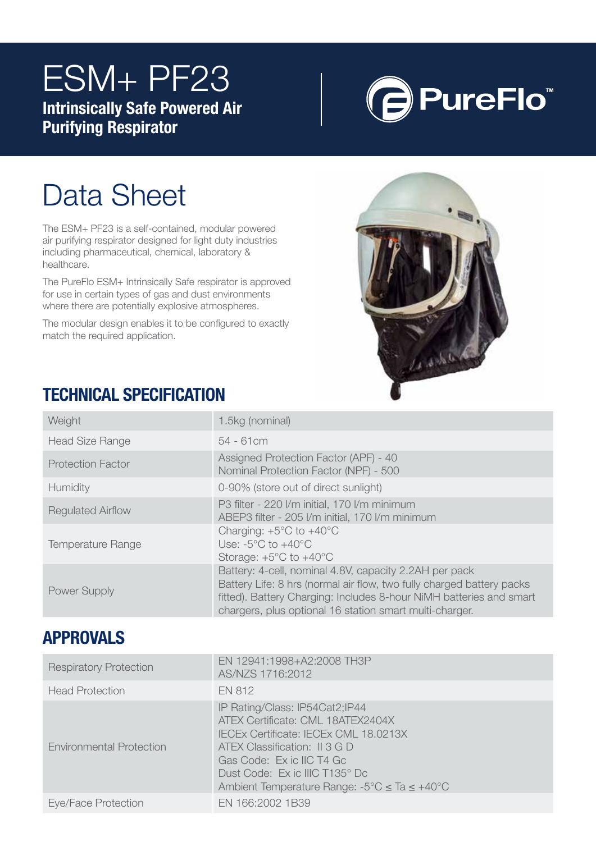# ESM+ PF23 Intrinsically Safe Powered Air

Purifying Respirator



# Data Sheet

The ESM+ PF23 is a self-contained, modular powered air purifying respirator designed for light duty industries including pharmaceutical, chemical, laboratory & healthcare.

The PureFlo ESM+ Intrinsically Safe respirator is approved for use in certain types of gas and dust environments where there are potentially explosive atmospheres.

The modular design enables it to be configured to exactly match the required application.



## TECHNICAL SPECIFICATION

| Weight                   | 1.5kg (nominal)                                                                                                                                                                                                                                                   |
|--------------------------|-------------------------------------------------------------------------------------------------------------------------------------------------------------------------------------------------------------------------------------------------------------------|
| <b>Head Size Range</b>   | $54 - 61$ cm                                                                                                                                                                                                                                                      |
| <b>Protection Factor</b> | Assigned Protection Factor (APF) - 40<br>Nominal Protection Factor (NPF) - 500                                                                                                                                                                                    |
| Humidity                 | 0-90% (store out of direct sunlight)                                                                                                                                                                                                                              |
| <b>Regulated Airflow</b> | P3 filter - 220 I/m initial, 170 I/m minimum<br>ABEP3 filter - 205 I/m initial, 170 I/m minimum                                                                                                                                                                   |
| <b>Temperature Range</b> | Charging: $+5^{\circ}$ C to $+40^{\circ}$ C<br>Use: $-5^{\circ}$ C to $+40^{\circ}$ C<br>Storage: $+5^{\circ}$ C to $+40^{\circ}$ C                                                                                                                               |
| Power Supply             | Battery: 4-cell, nominal 4.8V, capacity 2.2AH per pack<br>Battery Life: 8 hrs (normal air flow, two fully charged battery packs<br>fitted). Battery Charging: Includes 8-hour NiMH batteries and smart<br>chargers, plus optional 16 station smart multi-charger. |

### APPROVALS

| <b>Respiratory Protection</b>   | EN 12941:1998+A2:2008 TH3P<br>AS/NZS 1716:2012                                                                                                                                                                                                                      |
|---------------------------------|---------------------------------------------------------------------------------------------------------------------------------------------------------------------------------------------------------------------------------------------------------------------|
| <b>Head Protection</b>          | <b>EN 812</b>                                                                                                                                                                                                                                                       |
| <b>Environmental Protection</b> | IP Rating/Class: IP54Cat2;IP44<br>ATEX Certificate: CML 18ATEX2404X<br><b>IECEx Certificate: IECEx CML 18.0213X</b><br>ATEX Classification: II 3 G D<br>Gas Code: Ex ic IIC T4 Gc<br>Dust Code: Ex ic IIIC T135° Dc<br>Ambient Temperature Range: -5°C ≤ Ta ≤ +40°C |
| Eye/Face Protection             | EN 166:2002 1B39                                                                                                                                                                                                                                                    |
|                                 |                                                                                                                                                                                                                                                                     |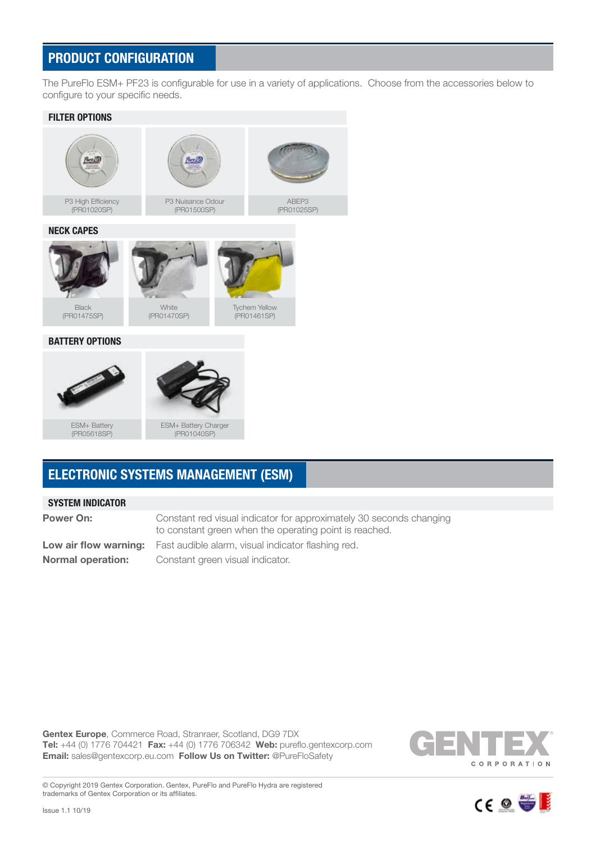#### PRODUCT CONFIGURATION

The PureFlo ESM+ PF23 is configurable for use in a variety of applications. Choose from the accessories below to configure to your specific needs.



### ELECTRONIC SYSTEMS MANAGEMENT (ESM)

#### SYSTEM INDICATOR

| <b>Power On:</b>         | Constant red visual indicator for approximately 30 seconds changing<br>to constant green when the operating point is reached. |
|--------------------------|-------------------------------------------------------------------------------------------------------------------------------|
|                          | Low air flow warning: Fast audible alarm, visual indicator flashing red.                                                      |
| <b>Normal operation:</b> | Constant green visual indicator.                                                                                              |

Gentex Europe, Commerce Road, Stranraer, Scotland, DG9 7DX Tel: +44 (0) 1776 704421 Fax: +44 (0) 1776 706342 Web: pureflo.gentexcorp.com Email: sales@gentexcorp.eu.com Follow Us on Twitter: @PureFloSafety



CE O 等

© Copyright 2019 Gentex Corporation. Gentex, PureFlo and PureFlo Hydra are registered trademarks of Gentex Corporation or its affiliates.

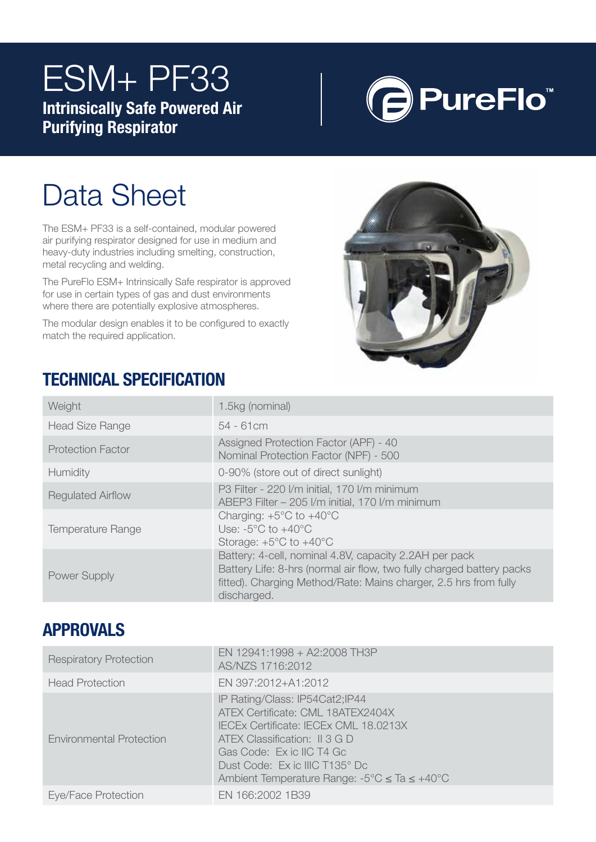# ESM+ PF33 Intrinsically Safe Powered Air

Purifying Respirator



# Data Sheet

The ESM+ PF33 is a self-contained, modular powered air purifying respirator designed for use in medium and heavy-duty industries including smelting, construction, metal recycling and welding.

The PureFlo ESM+ Intrinsically Safe respirator is approved for use in certain types of gas and dust environments where there are potentially explosive atmospheres.

The modular design enables it to be configured to exactly match the required application.



## TECHNICAL SPECIFICATION

| Weight                   | 1.5kg (nominal)                                                                                                                                                                                                    |
|--------------------------|--------------------------------------------------------------------------------------------------------------------------------------------------------------------------------------------------------------------|
| <b>Head Size Range</b>   | $54 - 61$ cm                                                                                                                                                                                                       |
| <b>Protection Factor</b> | Assigned Protection Factor (APF) - 40<br>Nominal Protection Factor (NPF) - 500                                                                                                                                     |
| Humidity                 | 0-90% (store out of direct sunlight)                                                                                                                                                                               |
| <b>Regulated Airflow</b> | P3 Filter - 220 I/m initial, 170 I/m minimum<br>ABEP3 Filter - 205 I/m initial, 170 I/m minimum                                                                                                                    |
| <b>Temperature Range</b> | Charging: $+5^{\circ}$ C to $+40^{\circ}$ C<br>Use: $-5^{\circ}$ C to $+40^{\circ}$ C<br>Storage: $+5^{\circ}$ C to $+40^{\circ}$ C                                                                                |
| Power Supply             | Battery: 4-cell, nominal 4.8V, capacity 2.2AH per pack<br>Battery Life: 8-hrs (normal air flow, two fully charged battery packs<br>fitted). Charging Method/Rate: Mains charger, 2.5 hrs from fully<br>discharged. |

### **APPROVALS**

| <b>Respiratory Protection</b>   | EN 12941:1998 + A2:2008 TH3P<br>AS/NZS 1716:2012                                                                                                                                                                                                                                 |
|---------------------------------|----------------------------------------------------------------------------------------------------------------------------------------------------------------------------------------------------------------------------------------------------------------------------------|
| <b>Head Protection</b>          | EN 397:2012+A1:2012                                                                                                                                                                                                                                                              |
| <b>Environmental Protection</b> | IP Rating/Class: IP54Cat2;IP44<br>ATEX Certificate: CML 18ATEX2404X<br>IECEx Certificate: IECEx CML 18.0213X<br>ATEX Classification: II 3 G D<br>Gas Code: Ex ic IIC T4 Gc<br>Dust Code: Ex ic IIIC T135° Dc<br>Ambient Temperature Range: $-5^{\circ}$ C $\leq$ Ta $\leq$ +40°C |
| Eye/Face Protection             | EN 166:2002 1B39                                                                                                                                                                                                                                                                 |